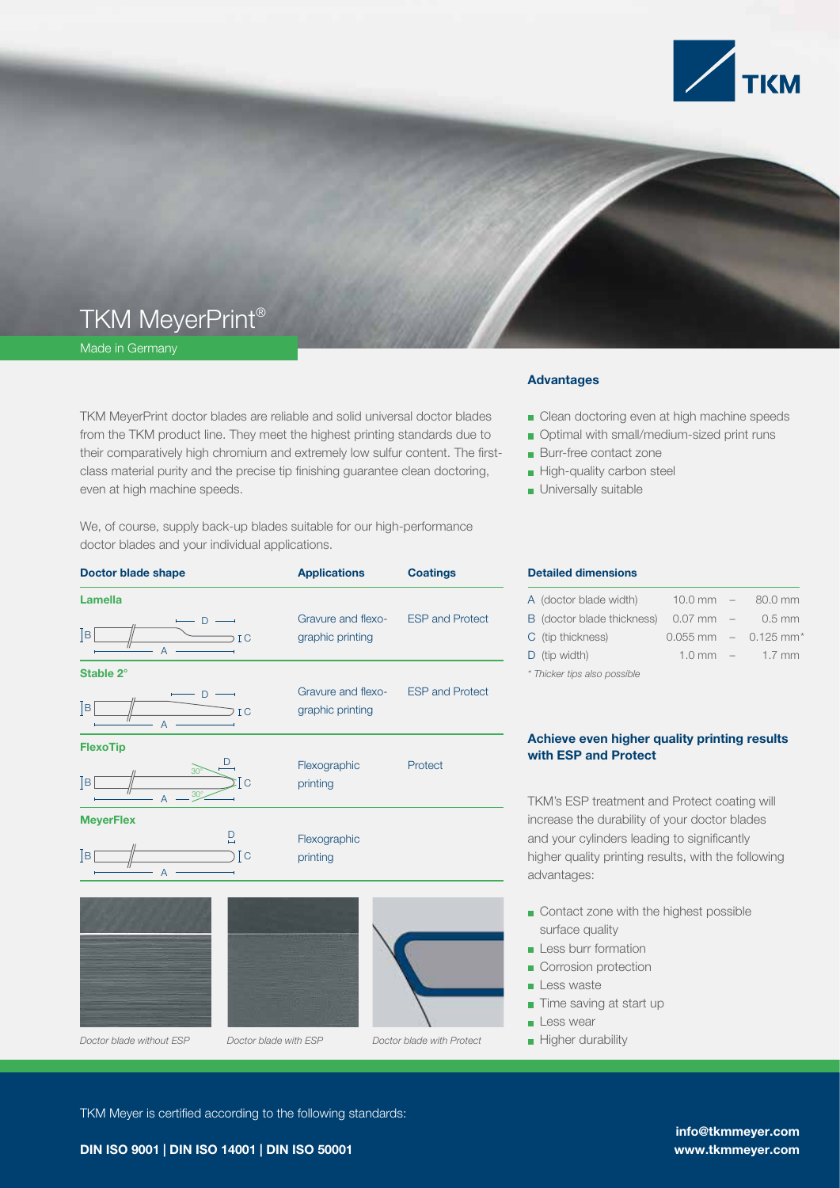

## TKM MeyerPrint®

Made in Germany

TKM MeyerPrint doctor blades are reliable and solid universal doctor blades from the TKM product line. They meet the highest printing standards due to their comparatively high chromium and extremely low sulfur content. The firstclass material purity and the precise tip finishing guarantee clean doctoring, even at high machine speeds.

We, of course, supply back-up blades suitable for our high-performance doctor blades and your individual applications.

| <b>Doctor blade shape</b>                                                                                                    | <b>Applications</b>                                    | <b>Coatings</b>           |
|------------------------------------------------------------------------------------------------------------------------------|--------------------------------------------------------|---------------------------|
| <b>Lamella</b><br>$-$ D $-$<br>$\lceil \texttt{B} \rceil$<br>$\overline{AC}$                                                 | Gravure and flexo- ESP and Protect<br>graphic printing |                           |
| Stable 2°<br>$-$ D $-$<br>$\overline{\phantom{a}}$ $\overline{\phantom{a}}$<br>$\overline{\phantom{a}}$ ic<br>$\overline{A}$ | Gravure and flexo- ESP and Protect<br>graphic printing |                           |
| <b>FlexoTip</b><br>$\frac{30^{\circ}}{1}$<br>$\mathsf{B}[\,$<br>ĪС                                                           | Flexographic<br>printing                               | Protect                   |
| <b>MeyerFlex</b><br>$\overline{\mathsf{D}}$<br>$\frac{1}{\sqrt{1-\frac{1}{2}}}\sqrt{1-\frac{1}{2}}$<br>Iв<br>$\overline{A}$  | Flexographic<br>printing                               |                           |
| Doctor blade without ESP<br>Doctor blade with ESP                                                                            |                                                        | Doctor blade with Protect |

#### Advantages

- Clean doctoring even at high machine speeds
- **Optimal with small/medium-sized print runs**
- **Burr-free contact zone**
- High-quality carbon steel
- **Universally suitable**

#### Detailed dimensions

| A (doctor blade width)               | $10.0$ mm $-$ | 80.0 mm                              |
|--------------------------------------|---------------|--------------------------------------|
| B (doctor blade thickness) 0.07 mm - |               | $0.5$ mm                             |
| C (tip thickness)                    |               | $0.055$ mm $-$ 0.125 mm <sup>*</sup> |
| $D$ (tip width)                      |               | $1.0 \text{ mm}$ – $1.7 \text{ mm}$  |
|                                      |               |                                      |

*\* Thicker tips also possible* 

## Achieve even higher quality printing results with ESP and Protect

TKM's ESP treatment and Protect coating will increase the durability of your doctor blades and your cylinders leading to significantly higher quality printing results, with the following advantages:

- Contact zone with the highest possible surface quality
- **Less burr formation**
- Corrosion protection
- Less waste
- Time saving at start up
- **Less wear**
- **D** Higher durability

TKM Meyer is certified according to the following standards:

DIN ISO 9001 | DIN ISO 14001 | DIN ISO 50001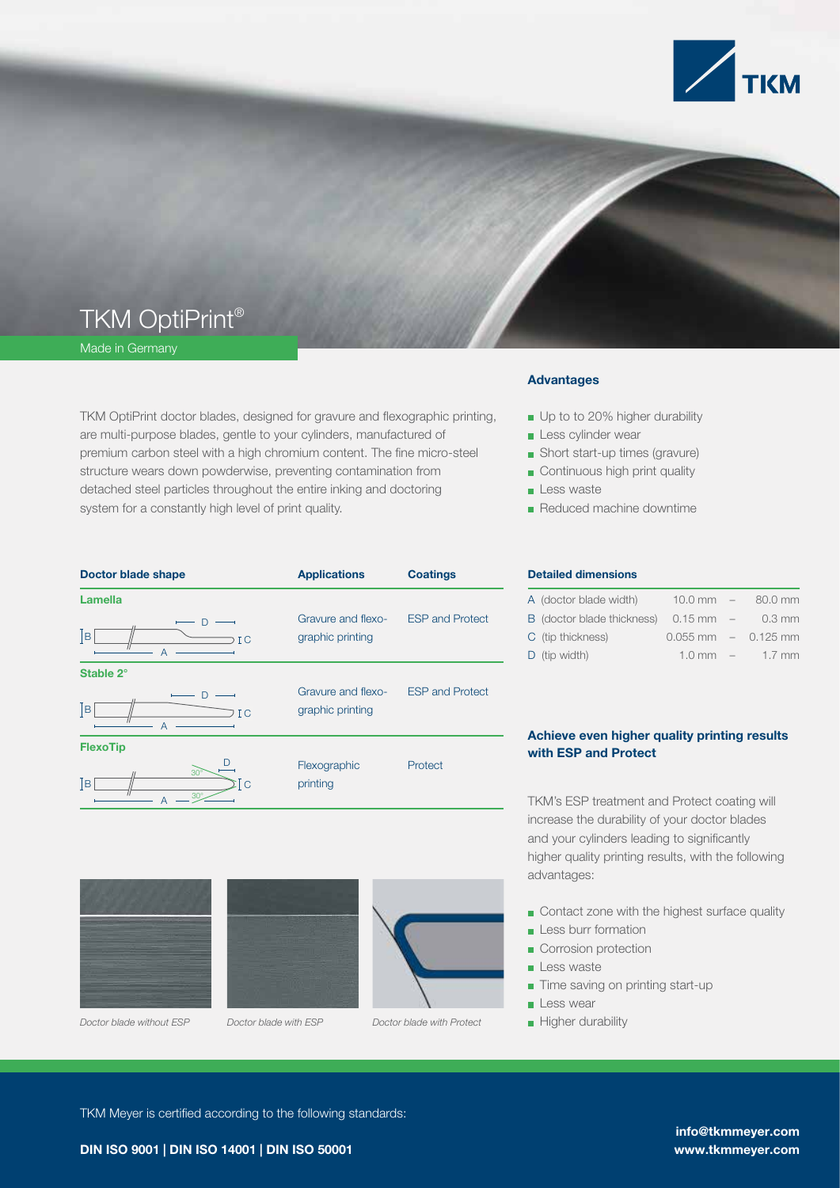

# TKM OptiPrint®

Made in Germany

TKM OptiPrint doctor blades, designed for gravure and flexographic printing, are multi-purpose blades, gentle to your cylinders, manufactured of premium carbon steel with a high chromium content. The fine micro-steel structure wears down powderwise, preventing contamination from detached steel particles throughout the entire inking and doctoring system for a constantly high level of print quality.

| Doctor blade shape                          | <b>Applications</b>                    | <b>Coatings</b>        |
|---------------------------------------------|----------------------------------------|------------------------|
| <b>Lamella</b>                              |                                        |                        |
| D<br> B <br>I C<br>$\overline{A}$           | Gravure and flexo-<br>graphic printing | <b>ESP and Protect</b> |
| Stable 2°                                   |                                        |                        |
| D<br> B <br>I C<br>$\overline{A}$           | Gravure and flexo-<br>graphic printing | <b>ESP and Protect</b> |
| <b>FlexoTip</b>                             |                                        |                        |
| $30^\circ$<br> B <br>ΣĪC<br>$30^\circ$<br>А | Flexographic<br>printing               | Protect                |
|                                             |                                        |                        |



*Doctor blade without ESP Doctor blade with ESP Doctor blade with Protect* Higher durability



#### Advantages

- Up to to 20% higher durability
- **Less cylinder wear**
- Short start-up times (gravure)
- Continuous high print quality
- Less waste
- Reduced machine downtime

#### Detailed dimensions

| A (doctor blade width)     |                     | $10.0 \text{ mm}$ $-$ 80.0 mm       |
|----------------------------|---------------------|-------------------------------------|
| B (doctor blade thickness) | $0.15 \text{ mm}$ – | 0.3 mm                              |
| C (tip thickness)          |                     | $0.055$ mm $-$ 0.125 mm             |
| $D$ (tip width)            |                     | $1.0 \text{ mm}$ – $1.7 \text{ mm}$ |

## Achieve even higher quality printing results with ESP and Protect

TKM's ESP treatment and Protect coating will increase the durability of your doctor blades and your cylinders leading to significantly higher quality printing results, with the following advantages:

Contact zone with the highest surface quality

- $\blacksquare$  Less burr formation
- Corrosion protection
- Less waste
- Time saving on printing start-up
- **Less wear**
- 

TKM Meyer is certified according to the following standards:

DIN ISO 9001 | DIN ISO 14001 | DIN ISO 50001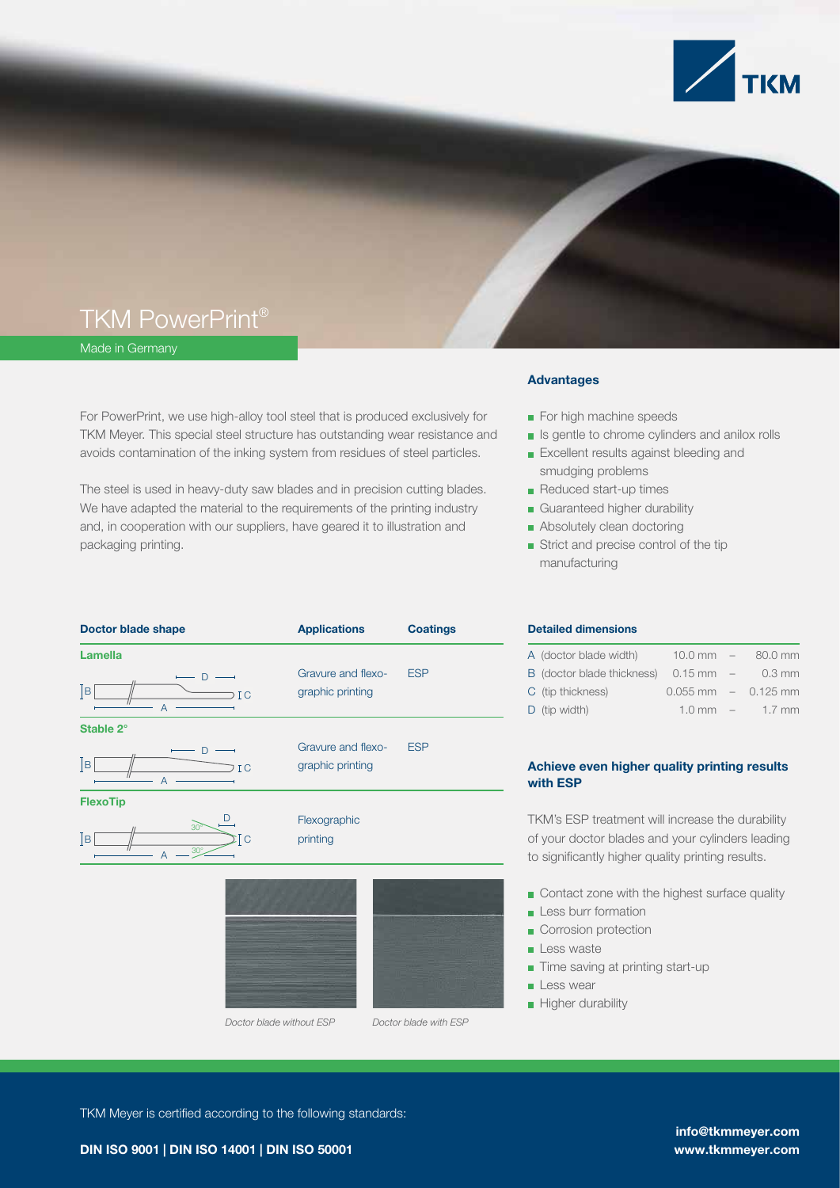

## TKM PowerPrint®

Made in Germany

For PowerPrint, we use high-alloy tool steel that is produced exclusively for TKM Meyer. This special steel structure has outstanding wear resistance and avoids contamination of the inking system from residues of steel particles.

The steel is used in heavy-duty saw blades and in precision cutting blades. We have adapted the material to the requirements of the printing industry and, in cooperation with our suppliers, have geared it to illustration and packaging printing.

| <b>Doctor blade shape</b>                                    | <b>Applications</b>                    | <b>Coatings</b> |
|--------------------------------------------------------------|----------------------------------------|-----------------|
| <b>Lamella</b><br>$\mathsf{D}%$<br>$\sqrt{ }$<br>IC          | Gravure and flexo-<br>graphic printing | <b>ESP</b>      |
| А<br>Stable 2°                                               |                                        |                 |
| D<br>$\overline{B}$<br>IC<br>$\overline{A}$                  | Gravure and flexo-<br>graphic printing | <b>ESP</b>      |
| <b>FlexoTip</b>                                              |                                        |                 |
| D<br>$30^{\circ}$<br>$\overline{B}$<br>Tс<br>$30^\circ$<br>А | Flexographic<br>printing               |                 |
|                                                              |                                        |                 |

*Doctor blade without ESP Doctor blade with ESP*

#### Advantages

- For high machine speeds
- **In Is gentle to chrome cylinders and anilox rolls**
- **Excellent results against bleeding and** smudging problems
- Reduced start-up times
- Guaranteed higher durability
- Absolutely clean doctoring
- Strict and precise control of the tip manufacturing

#### Detailed dimensions

| A (doctor blade width)     | $10.0$ mm $-$       | 80.0 mm                 |
|----------------------------|---------------------|-------------------------|
| B (doctor blade thickness) | $0.15 \text{ mm}$ – | 0.3 mm                  |
| C (tip thickness)          |                     | $0.055$ mm $-$ 0.125 mm |
| $D$ (tip width)            | $1.0 \text{ mm}$ –  | $1.7$ mm                |

## Achieve even higher quality printing results with ESP

TKM's ESP treatment will increase the durability of your doctor blades and your cylinders leading to significantly higher quality printing results.

- Contact zone with the highest surface quality
- **Less burr formation**
- Corrosion protection
- Less waste
- Time saving at printing start-up
- **Less wear**
- **Higher durability**

TKM Meyer is certified according to the following standards: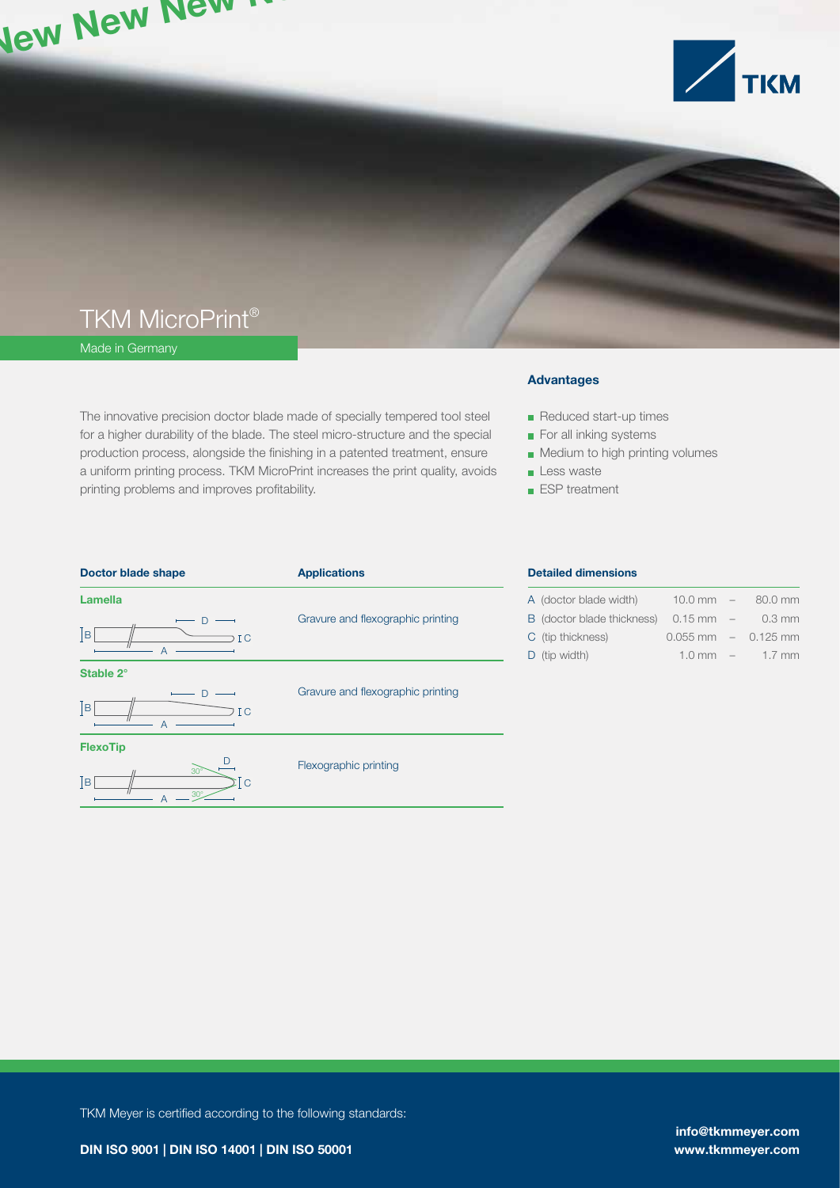

## TKM MicroPrint®

Made in Germany

The innovative precision doctor blade made of specially tempered tool steel for a higher durability of the blade. The steel micro-structure and the special production process, alongside the finishing in a patented treatment, ensure a uniform printing process. TKM MicroPrint increases the print quality, avoids printing problems and improves profitability.

## Advantages

Reduced start-up times

- For all inking systems
- **Medium to high printing volumes**
- **Less waste**
- **ESP** treatment

| <b>Doctor blade shape</b>                                   | <b>Applications</b>               | <b>Detailed</b> |
|-------------------------------------------------------------|-----------------------------------|-----------------|
| <b>Lamella</b>                                              |                                   | A (doctor       |
| D                                                           | Gravure and flexographic printing | B (doctor       |
| B <br>I <sub>C</sub>                                        |                                   | C (tip thio     |
| А                                                           |                                   | D (tip wic      |
| Stable 2°                                                   |                                   |                 |
|                                                             | Gravure and flexographic printing |                 |
| $\vert$ B<br>I <sub>C</sub><br>$\overline{A}$               |                                   |                 |
| <b>FlexoTip</b>                                             |                                   |                 |
| D<br>$30^\circ$<br> B <br>$\overline{C}$<br>$30^\circ$<br>А | Flexographic printing             |                 |
|                                                             |                                   |                 |

#### dimensions

| A (doctor blade width)            | $10.0$ mm $-$ | 80.0 mm                             |
|-----------------------------------|---------------|-------------------------------------|
| <b>B</b> (doctor blade thickness) | $0.15$ mm $-$ | 0.3 mm                              |
| C (tip thickness)                 |               | $0.055$ mm $-$ 0.125 mm             |
| $D$ (tip width)                   |               | $1.0 \text{ mm}$ – $1.7 \text{ mm}$ |

TKM Meyer is certified according to the following standards:

info@tkmmeyer.com www.tkmmeyer.com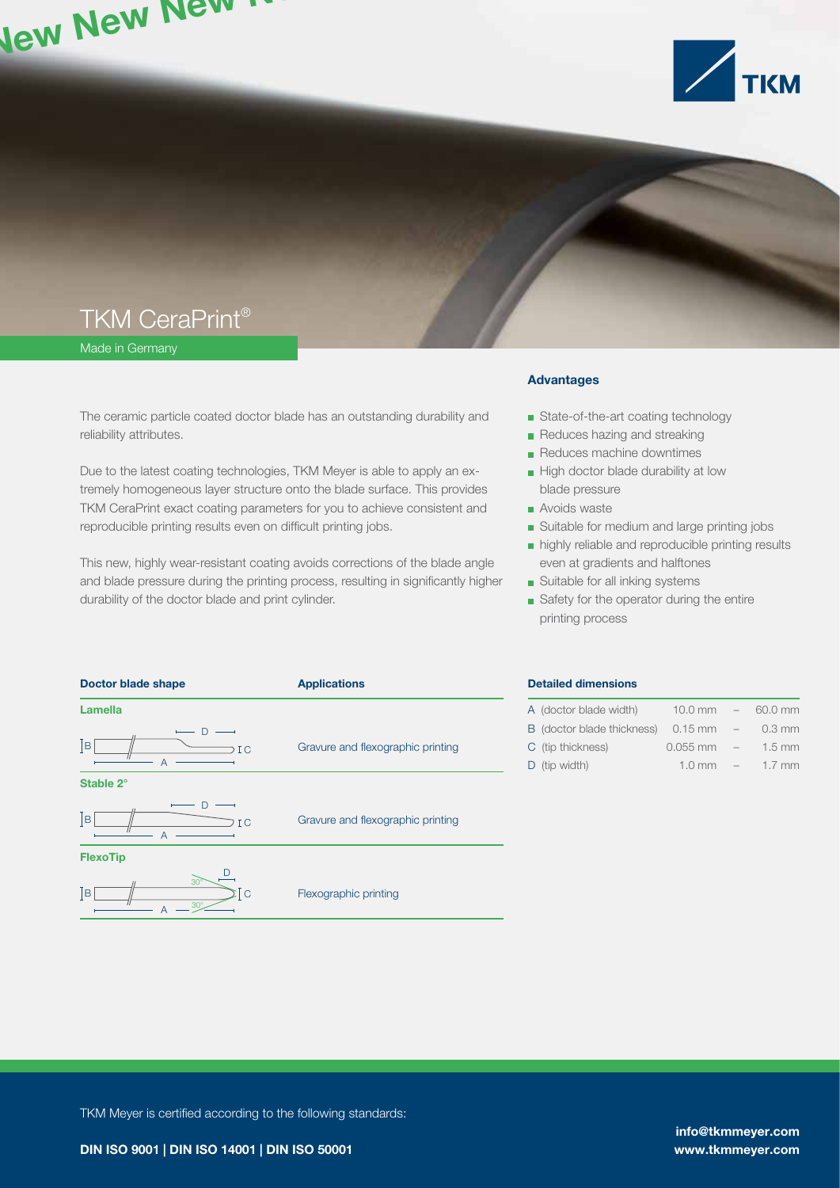

## TKM CeraPrint®

Made in Germany

The ceramic particle coated doctor blade has an outstanding durability and reliability attributes.

Due to the latest coating technologies, TKM Meyer is able to apply an extremely homogeneous layer structure onto the blade surface. This provides TKM CeraPrint exact coating parameters for you to achieve consistent and reproducible printing results even on difficult printing jobs.

This new, highly wear-resistant coating avoids corrections of the blade angle and blade pressure during the printing process, resulting in significantly higher durability of the doctor blade and print cylinder.

#### Advantages

- **State-of-the-art coating technology**
- Reduces hazing and streaking
- Reduces machine downtimes
- High doctor blade durability at low blade pressure
- **Avoids waste**
- Suitable for medium and large printing jobs
- highly reliable and reproducible printing results even at gradients and halftones
- **Suitable for all inking systems**
- Safety for the operator during the entire printing process



#### Detailed dimensions

| A (doctor blade width)     | $10.0 \text{ mm}$ – |        | 60.0 mm  |
|----------------------------|---------------------|--------|----------|
| B (doctor blade thickness) | $0.15$ mm           | $ \,$  | $0.3$ mm |
| C (tip thickness)          | $0.055$ mm          | $-$    | $1.5$ mm |
| $D$ (tip width)            | $1.0$ mm            | $\sim$ | $1.7$ mm |

TKM Meyer is certified according to the following standards: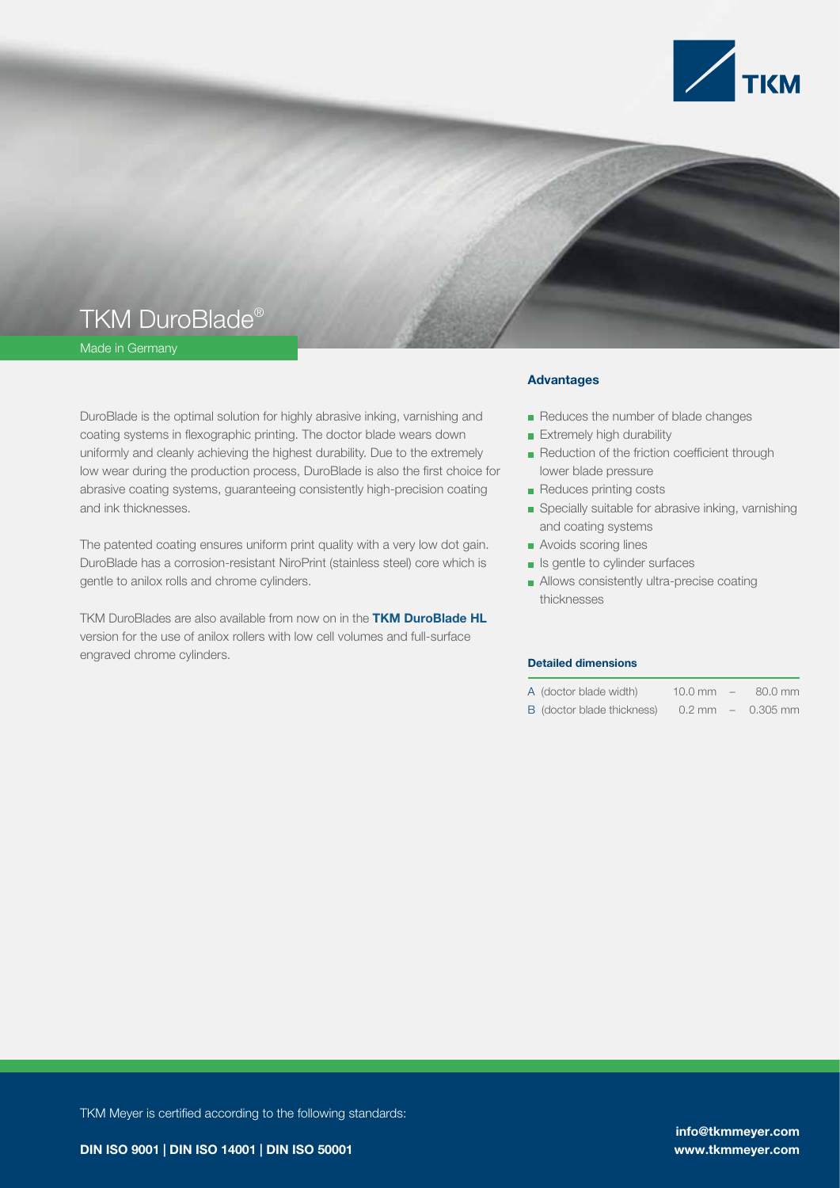

## TKM DuroBlade®

Made in Germany

DuroBlade is the optimal solution for highly abrasive inking, varnishing and coating systems in flexographic printing. The doctor blade wears down uniformly and cleanly achieving the highest durability. Due to the extremely low wear during the production process, DuroBlade is also the first choice for abrasive coating systems, guaranteeing consistently high-precision coating and ink thicknesses.

The patented coating ensures uniform print quality with a very low dot gain. DuroBlade has a corrosion-resistant NiroPrint (stainless steel) core which is gentle to anilox rolls and chrome cylinders.

TKM DuroBlades are also available from now on in the **TKM DuroBlade HL** version for the use of anilox rollers with low cell volumes and full-surface engraved chrome cylinders.

#### Advantages

- Reduces the number of blade changes
- **Extremely high durability**
- Reduction of the friction coefficient through lower blade pressure
- Reduces printing costs
- Specially suitable for abrasive inking, varnishing and coating systems
- **Avoids scoring lines**
- Is gentle to cylinder surfaces
- Allows consistently ultra-precise coating thicknesses

#### Detailed dimensions

- A (doctor blade width) 10.0 mm – 80.0 mm
- B (doctor blade thickness) 0.2 mm 0.305 mm –

TKM Meyer is certified according to the following standards:

DIN ISO 9001 | DIN ISO 14001 | DIN ISO 50001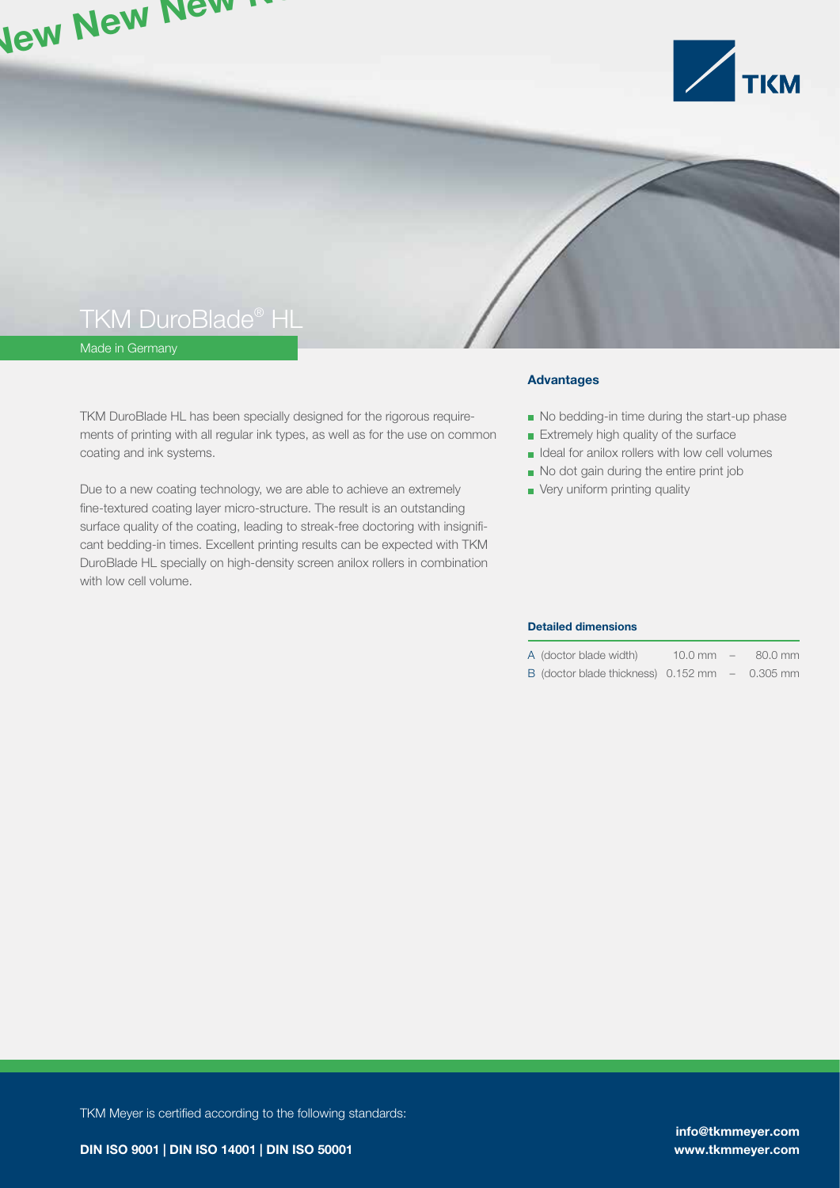

## TKM DuroBlade® HL

Made in Germany

TKM DuroBlade HL has been specially designed for the rigorous requirements of printing with all regular ink types, as well as for the use on common coating and ink systems.

Due to a new coating technology, we are able to achieve an extremely fine-textured coating layer micro-structure. The result is an outstanding surface quality of the coating, leading to streak-free doctoring with insignificant bedding-in times. Excellent printing results can be expected with TKM DuroBlade HL specially on high-density screen anilox rollers in combination with low cell volume.

### Advantages

- No bedding-in time during the start-up phase
- **Extremely high quality of the surface**
- $\blacksquare$  Ideal for anilox rollers with low cell volumes
- No dot gain during the entire print job
- **very uniform printing quality**

#### Detailed dimensions

| A (doctor blade width) | $10.0$ mm | 80.0 mm |
|------------------------|-----------|---------|
|                        |           |         |

B (doctor blade thickness) 0.152 mm 0.305 mm –

TKM Meyer is certified according to the following standards: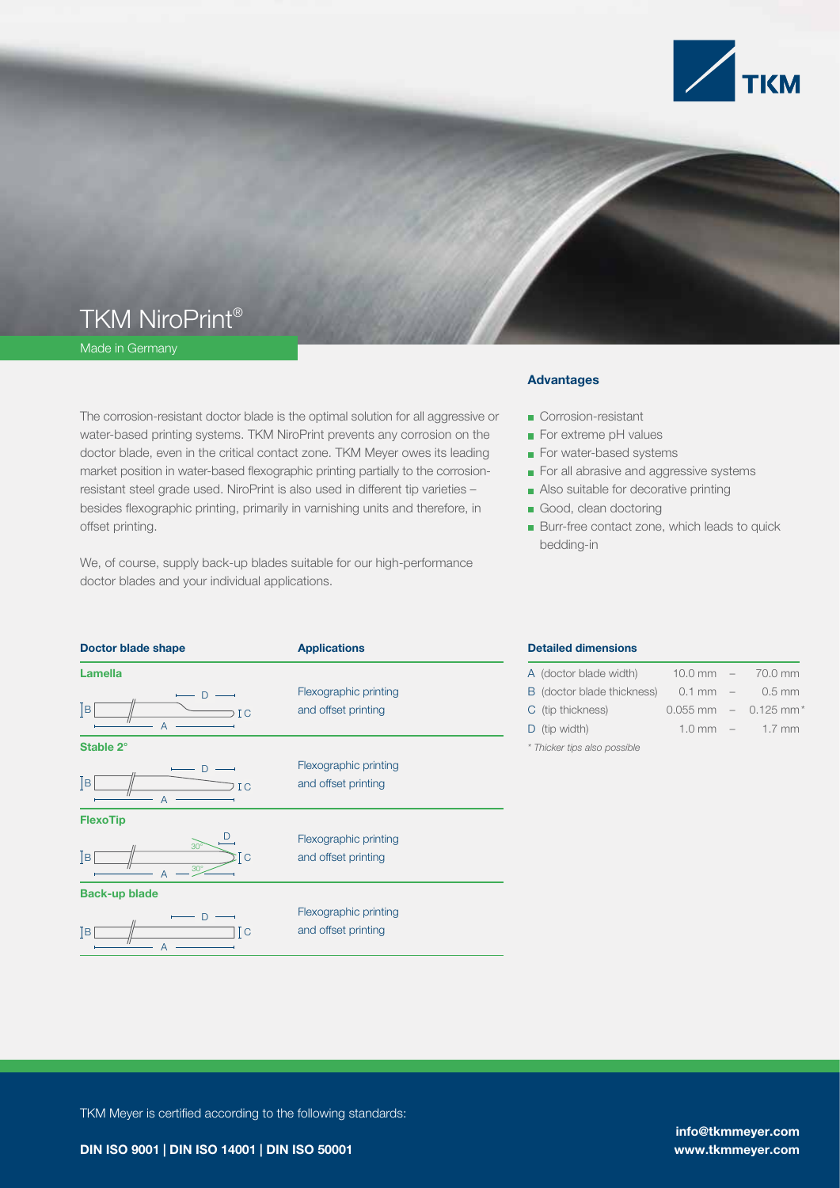

## TKM NiroPrint®

Made in Germany

The corrosion-resistant doctor blade is the optimal solution for all aggressive or water-based printing systems. TKM NiroPrint prevents any corrosion on the doctor blade, even in the critical contact zone. TKM Meyer owes its leading market position in water-based flexographic printing partially to the corrosionresistant steel grade used. NiroPrint is also used in different tip varieties – besides flexographic printing, primarily in varnishing units and therefore, in offset printing.

We, of course, supply back-up blades suitable for our high-performance doctor blades and your individual applications.

#### Advantages

- Corrosion-resistant
- For extreme pH values
- For water-based systems
- For all abrasive and aggressive systems
- Also suitable for decorative printing
- Good, clean doctoring
- Burr-free contact zone, which leads to quick bedding-in

| <b>Doctor blade shape</b>                    | <b>Applications</b>                          |
|----------------------------------------------|----------------------------------------------|
| <b>Lamella</b>                               |                                              |
| D<br> B <br>ΙC<br>A                          | Flexographic printing<br>and offset printing |
| Stable 2°                                    |                                              |
| D<br> B <br>I <sub>C</sub><br>$\overline{A}$ | Flexographic printing<br>and offset printing |
| <b>FlexoTip</b>                              |                                              |
| $30^\circ$<br> B <br>Tс<br>$30^\circ$        | Flexographic printing<br>and offset printing |
| <b>Back-up blade</b>                         |                                              |
| $\Box$<br>Tс<br>ĪВ<br>A                      | Flexographic printing<br>and offset printing |

#### Detailed dimensions

| A (doctor blade width)       |                      |  | $10.0$ mm $- 70.0$ mm                |  |  |
|------------------------------|----------------------|--|--------------------------------------|--|--|
| B (doctor blade thickness)   | $0.1 \, \text{mm}$ – |  | 0.5 mm                               |  |  |
| C (tip thickness)            |                      |  | $0.055$ mm $-$ 0.125 mm <sup>*</sup> |  |  |
| $D$ (tip width)              |                      |  | $1.0 \text{ mm}$ – $1.7 \text{ mm}$  |  |  |
| * Thicker tips also possible |                      |  |                                      |  |  |

TKM Meyer is certified according to the following standards:

info@tkmmeyer.com www.tkmmeyer.com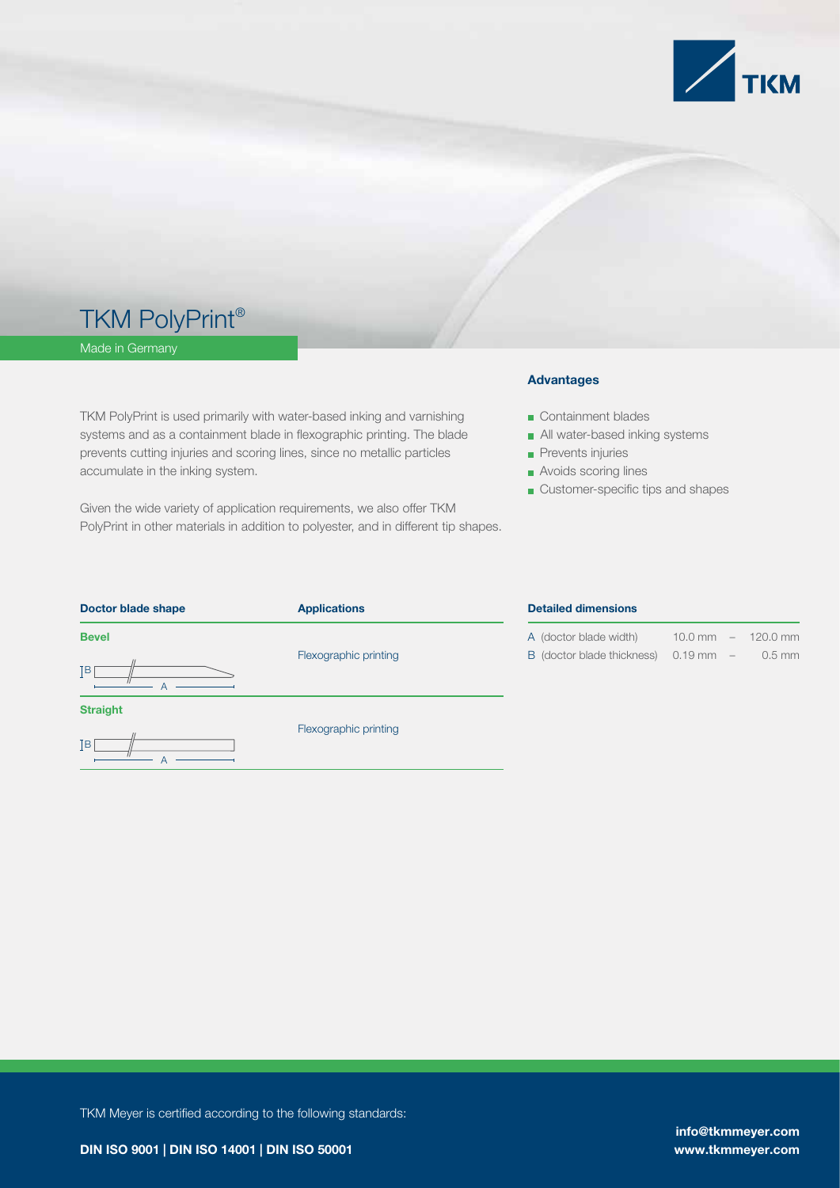

## TKM PolyPrint®

A

Made in Germany

TKM PolyPrint is used primarily with water-based inking and varnishing systems and as a containment blade in flexographic printing. The blade prevents cutting injuries and scoring lines, since no metallic particles accumulate in the inking system.

Given the wide variety of application requirements, we also offer TKM PolyPrint in other materials in addition to polyester, and in different tip shapes.

#### Advantages

Containment blades

- All water-based inking systems
- **Prevents injuries**
- **Avoids scoring lines**
- Customer-specific tips and shapes

| Doctor blade shape | <b>Applications</b>   | <b>Detailed dimensions</b> |                                            |          |  |
|--------------------|-----------------------|----------------------------|--------------------------------------------|----------|--|
| <b>Bevel</b>       |                       | A (doctor blade width)     | 10.0 mm<br>$\hspace{0.1mm}-\hspace{0.1mm}$ | 120.0 mm |  |
| ſв                 | Flexographic printing | B (doctor blade thickness) | $0.19$ mm $-1$                             | $0.5$ mm |  |
| <b>Straight</b>    | Flexographic printing |                            |                                            |          |  |
| ĪВ                 |                       |                            |                                            |          |  |